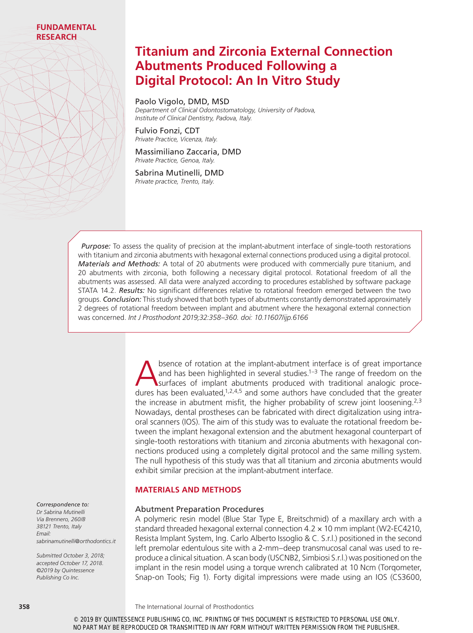# **Titanium and Zirconia External Connection Abutments Produced Following a Digital Protocol: An In Vitro Study**

Paolo Vigolo, DMD, MSD

*Department of Clinical Odontostomatology, University of Padova, Institute of Clinical Dentistry, Padova, Italy.*

Fulvio Fonzi, CDT *Private Practice, Vicenza, Italy.*

Massimiliano Zaccaria, DMD *Private Practice, Genoa, Italy.*

Sabrina Mutinelli, DMD *Private practice, Trento, Italy.*

*Purpose:* To assess the quality of precision at the implant-abutment interface of single-tooth restorations with titanium and zirconia abutments with hexagonal external connections produced using a digital protocol. *Materials and Methods:* A total of 20 abutments were produced with commercially pure titanium, and 20 abutments with zirconia, both following a necessary digital protocol. Rotational freedom of all the abutments was assessed. All data were analyzed according to procedures established by software package STATA 14.2. *Results:* No significant differences relative to rotational freedom emerged between the two groups. *Conclusion:* This study showed that both types of abutments constantly demonstrated approximately 2 degrees of rotational freedom between implant and abutment where the hexagonal external connection was concerned. *Int J Prosthodont 2019;32:358–360. doi: 10.11607/ijp.6166*

> Summary and has been highlighted in several studies.<sup>1–3</sup> The range of freedom on the surfaces of implant abutments produced with traditional analogic procedures has been evaluated  $1,2,4,5$  and some authors have conclude and has been highlighted in several studies.<sup>1–3</sup> The range of freedom on the surfaces of implant abutments produced with traditional analogic procedures has been evaluated, $1,2,4,5$  and some authors have concluded that the greater the increase in abutment misfit, the higher probability of screw joint loosening.<sup>2,3</sup> Nowadays, dental prostheses can be fabricated with direct digitalization using intraoral scanners (IOS). The aim of this study was to evaluate the rotational freedom between the implant hexagonal extension and the abutment hexagonal counterpart of single-tooth restorations with titanium and zirconia abutments with hexagonal connections produced using a completely digital protocol and the same milling system. The null hypothesis of this study was that all titanium and zirconia abutments would exhibit similar precision at the implant-abutment interface.

# **MATERIALS AND METHODS**

## Abutment Preparation Procedures

A polymeric resin model (Blue Star Type E, Breitschmid) of a maxillary arch with a standard threaded hexagonal external connection 4.2 × 10 mm implant (W2-EC4210, Resista Implant System, Ing. Carlo Alberto Issoglio & C. S.r.l.) positioned in the second left premolar edentulous site with a 2-mm–deep transmucosal canal was used to reproduce a clinical situation. A scan body (USCNB2, Simbiosi S.r.l.) was positioned on the implant in the resin model using a torque wrench calibrated at 10 Ncm (Torqometer, Snap-on Tools; Fig 1). Forty digital impressions were made using an IOS (CS3600,

*Correspondence to: Dr Sabrina Mutinelli Via Brennero, 260/B 38121 Trento, Italy Email: sabrinamutinelli@orthodontics.it*

*Submitted October 3, 2018; accepted October 17, 2018. ©2019 by Quintessence Publishing Co Inc.*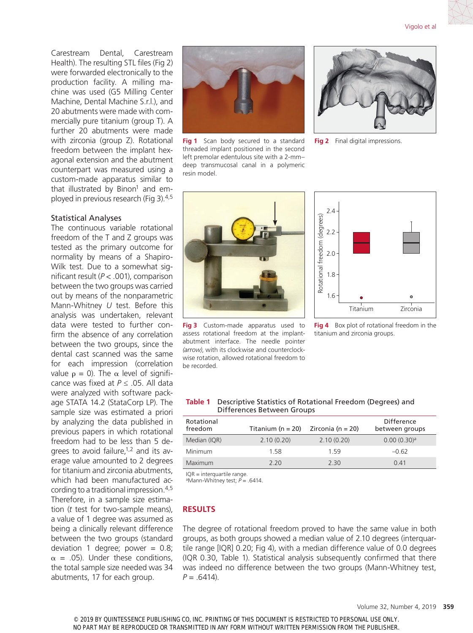Carestream Dental, Carestream Health). The resulting STL files (Fig 2) were forwarded electronically to the production facility. A milling machine was used (G5 Milling Center Machine, Dental Machine S.r.l.), and 20 abutments were made with commercially pure titanium (group T). A further 20 abutments were made with zirconia (group Z). Rotational freedom between the implant hexagonal extension and the abutment counterpart was measured using a custom-made apparatus similar to that illustrated by Binon<sup>1</sup> and employed in previous research (Fig 3).4,5

## Statistical Analyses

The continuous variable rotational freedom of the T and Z groups was tested as the primary outcome for normality by means of a Shapiro-Wilk test. Due to a somewhat significant result (*P* < .001), comparison between the two groups was carried out by means of the nonparametric Mann-Whitney *U* test. Before this analysis was undertaken, relevant data were tested to further confirm the absence of any correlation between the two groups, since the dental cast scanned was the same for each impression (correlation value  $ρ = 0$ ). The α level of significance was fixed at *P* ≤ .05. All data were analyzed with software package STATA 14.2 (StataCorp LP). The sample size was estimated a priori by analyzing the data published in previous papers in which rotational freedom had to be less than 5 degrees to avoid failure, $1,2$  and its average value amounted to 2 degrees for titanium and zirconia abutments, which had been manufactured according to a traditional impression.4,5 Therefore, in a sample size estimation (*t* test for two-sample means), a value of 1 degree was assumed as being a clinically relevant difference between the two groups (standard deviation 1 degree; power  $= 0.8$ ;  $\alpha$  = .05). Under these conditions, the total sample size needed was 34 abutments, 17 for each group.

**Fig 1** Scan body secured to a standard threaded implant positioned in the second left premolar edentulous site with a 2-mm– deep transmucosal canal in a polymeric resin model.



**Fig 2** Final digital impressions.



**Fig 3** Custom-made apparatus used to assess rotational freedom at the implantabutment interface. The needle pointer *(arrow)*, with its clockwise and counterclockwise rotation, allowed rotational freedom to be recorded.



**Fig 4** Box plot of rotational freedom in the titanium and zirconia groups.

### **Table 1** Descriptive Statistics of Rotational Freedom (Degrees) and Differences Between Groups

| Rotational<br>freedom | Titanium ( $n = 20$ ) | Zirconia (n = 20) | Difference<br>between groups |
|-----------------------|-----------------------|-------------------|------------------------------|
| Median (IQR)          | 2.10(0.20)            | 2.10(0.20)        | 0.00(0.30) <sup>a</sup>      |
| Minimum               | 1.58                  | 159               | $-0.62$                      |
| Maximum               | 2.20                  | 2.30              | 0.41                         |

IQR = interquartile range.

aMann-Whitney test; *P* = .6414.

## **RESULTS**

The degree of rotational freedom proved to have the same value in both groups, as both groups showed a median value of 2.10 degrees (interquartile range [IQR] 0.20; Fig 4), with a median difference value of 0.0 degrees (IQR 0.30, Table 1). Statistical analysis subsequently confirmed that there was indeed no difference between the two groups (Mann-Whitney test,  $P = .6414$ ).

© 2019 BY QUINTESSENCE PUBLISHING CO, INC. PRINTING OF THIS DOCUMENT IS RESTRICTED TO PERSONAL USE ONLY. NO PART MAY BE REPRODUCED OR TRANSMITTED IN ANY FORM WITHOUT WRITTEN PERMISSION FROM THE PUBLISHER.